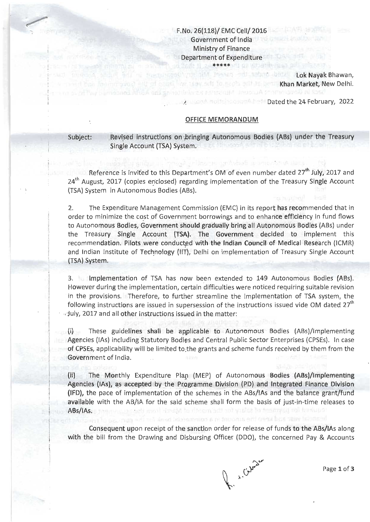# F.No, 25(118)/ EMC Cell/2a16 Government of lndia Ministry of Finance Department of Expenditure \*\*\*'k\*

have as out only for models only he beauti

"/

met niedla meen odt mann beti Lok Nayak Bhawan, Khan Market, New Delhi.

**.reflective Dated the 24 February, 2022** 

### OFFICE MEMORANDUM

Subject: Revised instructions on bringing Autonomous Bodies (ABs) under the Treasury Single Account (TSA) System.

Reference is invited to this Department's OM of even number dated  $27<sup>th</sup>$  July, 2017 and 24<sup>th</sup> August, 2017 (copies enclosed) regarding implementation of the Treasury Single Account (TSA) System in Autonomous Bodies (ABs).

2. The Expenditure Management Commission (EMC) in its report has recommended that in order to minimize the cost of Government borrowings and to enhance efficiency in fund flows to Autonomous Bodies, Government should gradually bring all Autonomous Bodies (ABs) under the Treasury Single Account {fSA). The Government decided to implement this recommendation. Pilots were conducted with the lndian Council of Medical Research (ICMR) and Indian Institute of Technology (IIT), Delhi on implementation of Treasury Single Account (TSA) System.

3, lmplementation of TSA has nqw been extended to 149 Autonomous Bodies (ABs). However during the implementation, certain difficulties were noticed requiring suitable revision in the provisions. Therefore, to further streamline the implementation of TSA system, the following instructions are issued in supersession of the instructions issued vide OM dated  $27<sup>th</sup>$ , July, 2017 and all other instructions issued in the matter:

(i) These guidelines shall be applicable to Autonomous Bodies {ABs)/lmplementing Agencies (lAs) inctuding Statutory Bodies and Central Public Sector Enterprises (CPSEs). ln case of CPSEs, applicability will be limited to:the grants and scheme funds received by them from the Government of lndia.

(ii) The Monthly Expenditure Ptap (MEP) of Autonomous Bodies (ABs)/lmplementing Agencies (IAs), as accepted by the Programme Division (PD) and Integrated Finance Division (lFD), the pace of implementation of the schemes in the ABs/lAs and the balance grant/fund available with the AB/IA for the said scheme shall form the basis of just-in-time releases to ABs/lAs. uzi mai rizsik in dicem sill notvasici ja insimlaj toi kuniuko

Consequent upon receipt of the sanction order for release of funds to the ABs/IIAs along with the bill from the Drawing and Disbursing Officer (DDO), the concerned Pay & Accounts

Page 1 of 3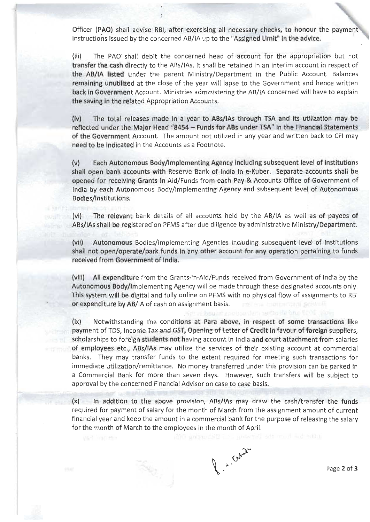Officer (PAO) shall advise RBI, after exercising all necessary checks, to honour the payment instructions issued by the concerned AB/IA up to the "Assigned Limit" in the advice.

(iii) The PAO'shall debit the concerned head of account for the appropriation but not transfer the cash directly to the ABs/lAs. lt shall be retained in an interim account in respect of the AB/IA listed under the parent MinistrylDepartment in the Public Account. Balances remaining unutilized at the close of the year will lapse to the Government and hence written back in Government Account. Ministries administering the AB/IA concerned will have to explain the saving in the related Appropriation Accounts.

(iv) The total releases made in a year to ABs/lAs through TSA and its utilization may be reflected under the Major Head "8454 - Funds for ABs under TSA" in the Financial Statements of the Government Account. The amount not utilized in any year and written back to CFI may need to be indicated in the Accounts as a Footnote.

(v) Each Autonomous Body/lmplementing Agency including subsequent {evel of institutions shall open bank accounts with Reserve Bank of lndia in e-Kuber. Separate accounts shall be opened for receiving Grants in Aid/Funds from each Pay & Accounts Office of Government of lndia by each Autonomous Body/lmplementing Agency and subsequent level of Autonomous Bodies/institutions.

(vi) The relevant bank details of aH accounts held by the AB/IA as well as of payees of ABs/IAs shall be registered on PFMS after due diligence by administrative Ministry/Department.

(vii) Autonomous Bodies/lmplementing Agencies including subsequent level of lnstitutions shall not open/operate/park funds in any other account for any operation pertaining to funds received from Government of lndia.

(viii) All expenditure from the Grants-in-Aid/Funds received from Government of lndia by the Autonomous Body/lmplementing Agency will be made through these designated accounts only. This system will be digital and fully online on PFMS with no physical flow of assignments to RBI or expenditure by AB/IA of cash on assignment basis.

(ix) Notwithstanding the conditions at Para above, in respect of some transactions like payment of TDS, Income Tax and GST, Opening of Letter of Credit in favour of foreign suppliers, scholarships to foreign students not having account in India and court attachment from salaries of employees etc., ABs/lAs may utilize the services of their existing account at commercial banks. They may transfer funds to the extent required for meeting such transactions for immediate utilization/remittance. No money transferred under this provision can be parked in a Commercial Bank for more than seven days. However, such transfers will be subject to approval by the concerned Financial Advisor on case to case basis.

(x) ln addition to the above provision, ABs/IAs may draw the cash/transfer the funds required for payment of salary for the month of March from the assignment amount of current financial year and keep the amount in a commercial bank for the purpose of releasing the salary for the month of March to the employees in the month of April.

 $\int_{\mathbb{R}^{n}}x\cdot\Omega_{\mathcal{W}}$ 

Page 2 of 3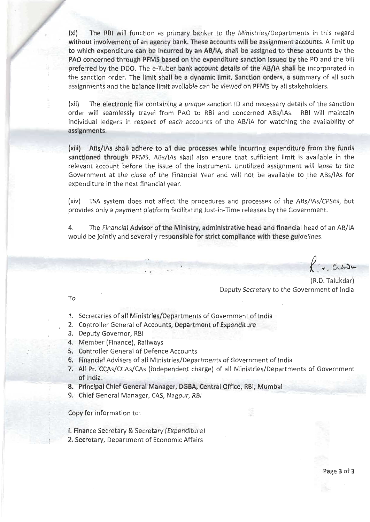(xi) The RBI will function as primary banker to the Ministries/Departments in this regard without involvement of an agency bank. These accounts will be assignment accounts. A limit up to which expenditure can be incurred by an AB/lA, shall be assigned to these accounts by the pAo concerned through pFMS based on the expenditure sanction issued by the pD and the bill preferred by the DDO. The e-Kuber bank account details of the AB/IA shall be incorporated in the sanction order. The limit shall be a dynamic limit. Sanction orders, a summary of all such assignments and the balance limit available can be viewed on PFMS by all stakeholders.

(xii) The electronic file containing a unique sanction ID and necessary details of the sanction order will seamlessly travel from PAO to RBI and concerned ABs/IAs. RBI will maintain individual ledgers in respect of each accounts of the AB/IA for watching the availability of assignments.

(xiii) ABs/lAs shall adhere to all due processes while incurring expenditure from the funds sanctioned through PFMS. ABs/IAs shall also ensure that sufficient limit is available in the relevant account before the issue of the instrument. Unutilized assignment will lapse to the Government at the close of the Financial Year and will not be available to the ABs/lAs for expenditure in the next financial year.

(xiv) TSA system does not affect the procedures and processes of the ABs/IAs/CPSEs, but provides only a payment platform facilitating Just-in-Time releases by the Government.

4. The Financial Advisor of the Ministry, administrative head and financial head of an AB/IA would be jointly and severally responsible for strict compliance with these guidelines'

 $\delta$  $\left( \cdot \right.$  , chose

(R.D. Talukdar) Deputy Secretary to the Government of lndia

To

- L. Secretaries of all Ministries/Deparlments of Government of tndia
- 2. Controller General of Accounts, Department of Expenditure
- 3. Deputy Governor, RBI
- 4. Member (Finance), Railways
- 5. Controller General of Defence Accounts
- 6. Financial Advisers of all Ministries/Departments of Government of India
- 7. All Pr. CCAs/CCAs/CAs (independent charge) of all Ministries/Departments of Government of lndia.
- 8. Principal Chief General Manager, DGBA, Central Office, RBI, Mumbai
- 9. Chief General Manager, CAS, Nagpur, RBI

Copy for information to:

- l. Finance Secretary & Secretary (Expenditure)
- 2. Secretary, Department of Economic Affairs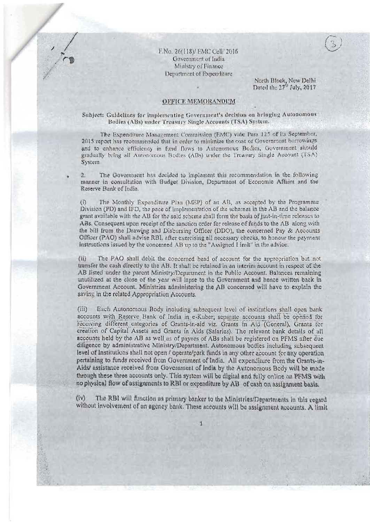### F.No. 26(118)/ EMC Cell/2016 Government of India Ministry of Finance Department of Expenditure

North Block, New Delhi<br>Dated the 27<sup>th</sup> July, 2017

#### OFFICE MEMORANDUM

#### Subject: Guidelines for implementing Government's decision on bringing Autonomous. Bodies (ABs) under Treasury Single Accounts (TSA) System.

The Expenditure Management Commission (EMC) vide Para 125 of its September. 2015 report has recommended that in order to minimize the cost of Government borrowings and to enhance efficiency in fund flows to Autonomous Bodies, Government should gradually bring all Autonomous Bodies (ABs) under the Treasury Single Account (TSA) **System** 

The Government has decided to implement this recommendation in the following  $2.$ manner in consultation with Budget Division, Department of Economic Affairs and the Reserve Bank of India.

The Monthly Expenditure Plan (MEP) of an AB, as accepted by the Programme  $(i)$ Division (PD) and IFD, the pace of implementation of the schemes in the AB and the balance grant available with the AB for the said scheme shall form the basis of just-in-time releases to ABs. Consequent upon receipt of the sanction order for release of funds to the AB along with the bill from the Drawing and Disbursing Officer (DDO), the concerned Pay & Accounts Officer (PAO) shall advise RBI, after exercising all necessary checks, to honour the payment instructions issued by the concerned AB up to the "Assigned I imit" in the advice.

 $(ii)$ The PAO shall debit the concerned head of account for the appropriation but not transfer the cash directly to the AB. It shall be retained in an interim account in respect of the AB listed under the parent Ministry/Department in the Public Account. Balances remaining unutilized at the close of the year will lapse to the Government and hence written back in Government Account. Ministries administering the AB concerned will have to explain the saving in the related Appropriation Accounts.

 $(iii)$ Each Autonomous Body including subsequent level of institutions shall open bank accounts with Reserve Bank of India in e-Kuber; separate accounts shall be opened for receiving different categories of Grants-in-aid viz. Grants in Aid (General), Grants for creation of Capital Assets and Grants in Aids (Salaries). The relevant bank details of all accounts held by the AB as well as of payees of ABs shall be registered on PFMS after due diligence by administrative Ministry/Department. Autonomous bodies including subsequent level of Institutions shall not open / operate/park funds in any other account for any operation pertaining to funds received from Government of India. All expenditure from the Grants-in-Aids/ assistance received from Government of India by the Autonomous Body will be made through these three accounts only. This system will be digital and fully online on PFMS with no physical flow of assignments to RBI or expenditure by AB of cash on assignment basis.

The RBI will function as primary banker to the Ministries/Departments in this regard  $(iv)$ without involvement of an agency bank. These accounts will be assignment accounts. A limit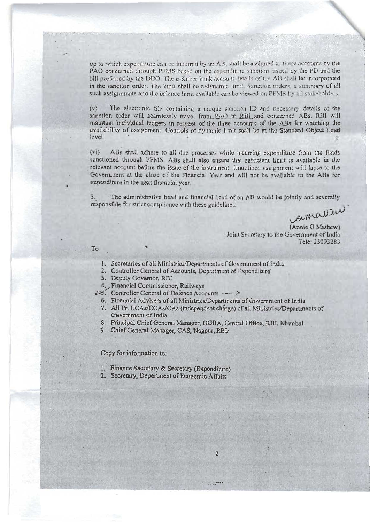up to which expenditure can be incurred by an AB, shall be assigned to these accounts by the PAO concerned through PFMS based on the expenditure sanction issued by the PD and the bill preferred by the DDO. The e-Kuber bank account details of the AB shall be incorporated in the sanction order. The limit shall be a dynamic limit. Sanction orders, a summary of all such assignments and the balance limit available can be viewed on PFMS by all stakeholders.

The electronic file containing a unique sanotion ID and necessary details of the  $(\mathbf{v})$ sanction order will seamlessly travel from PAO to RBI and concerned ABs. RBI will maintain individual ledgers in respect of the three accounts of the ABs for watching the availability of assignment. Controls of dynamic limit shall be at the Standard Object Head level.

 $(v_i)$ ABs shall adhere to all due processes while incurring expenditure from the funds sanctioned through PFMS. ABs shall also ensure that sufficient limit is available in the relevant account before the issue of the instrument. Unutilized assignment will lapse to the Government at the close of the Financial Year and will not be available to the ABs for expenditure in the next financial year.

 $\overline{3}$ . The administrative head and financial head of an AB would be jointly and severally responsible for strict compliance with these guidelines.

simatica

(Annie G Mathew) Joint Secretary to the Government of India Tele: 23093283

To

- 1. Secretaries of all Ministries/Departments of Government of India
- 2. Controller General of Accounts, Department of Expenditure
- 3. Deputy Governor, RBI
- Financial Commissioner, Railways
- 33. Controller General of Defence Accounts - $\rightarrow$ 
	- 6. Financial Advisers of all Ministries/Departments of Government of India
	- 7. All Pr. CCAs/CCAs/CAs (independent charge) of all Ministries/Departments of Government of India
	- 8. Principal Chief General Manager, DGBA, Central Office, RBI, Mumbai
	- 9. Chief General Manager, CAS, Nagpur, RBL

Copy for information to:

- 1. Finance Secretary & Secretary (Expenditure).
- 2. Secretary, Department of Economic Affairs